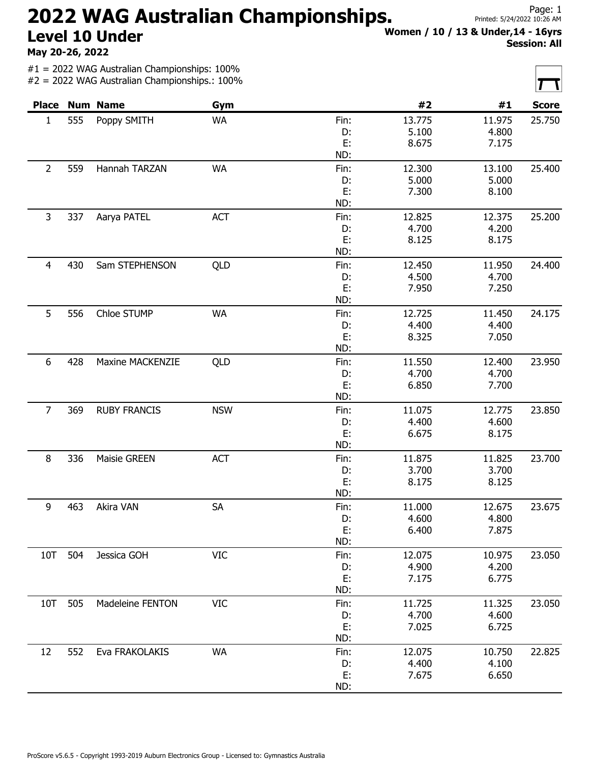## 2022 WAG Australian Championships. Level 10 Under

May 20-26, 2022

#1 = 2022 WAG Australian Championships: 100%  $#2 = 2022$  WAG Australian Championships : 100%

ProScore v5.6.5 - Copyright 1993-2019 Auburn Electronics Group - Licensed to: Gymnastics Australia

|  |  | Women / 10 / 13 & Under,14 - 16yrs |  |
|--|--|------------------------------------|--|
|  |  | <b>Session: All</b>                |  |

|                     |             | $#Z = ZUZZ$ WAG AUSU dildiT ChampionShipS 100% |            |        |        |        |              |
|---------------------|-------------|------------------------------------------------|------------|--------|--------|--------|--------------|
|                     |             | <b>Place Num Name</b>                          | Gym        |        | #2     | #1     | <b>Score</b> |
| 555<br>$\mathbf{1}$ |             | Poppy SMITH                                    | <b>WA</b>  | Fin:   | 13.775 | 11.975 | 25.750       |
|                     |             |                                                |            | D:     | 5.100  | 4.800  |              |
|                     |             |                                                |            | E:     | 8.675  | 7.175  |              |
|                     |             |                                                |            | ND:    |        |        |              |
| $\overline{2}$      | 559         | Hannah TARZAN                                  | WA         | Fin:   | 12.300 | 13.100 | 25.400       |
|                     |             |                                                |            | D:     | 5.000  | 5.000  |              |
|                     |             |                                                |            | E:     | 7.300  | 8.100  |              |
|                     |             |                                                |            | ND:    |        |        |              |
| 3                   | 337         | Aarya PATEL                                    | <b>ACT</b> | Fin:   | 12.825 | 12.375 | 25.200       |
|                     |             |                                                |            | D:     | 4.700  | 4.200  |              |
|                     |             |                                                |            | E:     | 8.125  | 8.175  |              |
|                     |             |                                                |            | ND:    |        |        |              |
| $\overline{4}$      | 430         | Sam STEPHENSON                                 | QLD        | Fin:   | 12.450 | 11.950 | 24.400       |
|                     |             |                                                |            | D:     | 4.500  | 4.700  |              |
|                     |             |                                                |            | E:     | 7.950  | 7.250  |              |
|                     |             |                                                |            | ND:    |        |        |              |
| 5                   | 556         | Chloe STUMP                                    | WA         | Fin:   | 12.725 | 11.450 | 24.175       |
|                     |             |                                                |            | D:     | 4.400  | 4.400  |              |
|                     |             |                                                |            | E:     | 8.325  | 7.050  |              |
|                     |             |                                                |            | ND:    |        |        |              |
| 6                   | 428         | <b>Maxine MACKENZIE</b>                        | QLD        | Fin:   | 11.550 | 12.400 | 23.950       |
|                     |             |                                                |            | D:     | 4.700  | 4.700  |              |
|                     |             |                                                |            | E:     | 6.850  | 7.700  |              |
|                     |             |                                                |            | ND:    |        |        |              |
| $\overline{7}$      | 369         | <b>RUBY FRANCIS</b>                            | <b>NSW</b> | Fin:   | 11.075 | 12.775 | 23.850       |
|                     |             |                                                |            | D:     | 4.400  | 4.600  |              |
|                     |             |                                                |            | E:     | 6.675  | 8.175  |              |
|                     |             |                                                |            | ND:    |        |        |              |
| 8                   | 336         | Maisie GREEN                                   | <b>ACT</b> | Fin:   | 11.875 | 11.825 | 23.700       |
|                     |             |                                                |            | D:     | 3.700  | 3.700  |              |
|                     |             |                                                |            | E:     | 8.175  | 8.125  |              |
|                     |             |                                                | ND:        |        |        |        |              |
| 9                   | 463         | Akira VAN                                      | SA         | Fin:   | 11.000 | 12.675 | 23.675       |
|                     |             |                                                |            | D:     | 4.600  | 4.800  |              |
|                     |             |                                                | E:         | 6.400  | 7.875  |        |              |
|                     |             |                                                | ND:        |        |        |        |              |
| 10T<br>504          | Jessica GOH | <b>VIC</b>                                     | Fin:       | 12.075 | 10.975 | 23.050 |              |
|                     |             |                                                |            | D:     | 4.900  | 4.200  |              |
|                     |             |                                                | E:         | 7.175  | 6.775  |        |              |
|                     |             |                                                | ND:        |        |        |        |              |
| 10T                 | 505         | Madeleine FENTON                               | <b>VIC</b> | Fin:   | 11.725 | 11.325 | 23.050       |
|                     |             |                                                |            | D:     | 4.700  | 4.600  |              |
|                     |             |                                                |            | E:     | 7.025  | 6.725  |              |
|                     |             |                                                | ND:        |        |        |        |              |
| 12                  | 552         | Eva FRAKOLAKIS                                 | <b>WA</b>  | Fin:   | 12.075 | 10.750 | 22.825       |
|                     |             |                                                |            | D:     | 4.400  | 4.100  |              |
|                     |             |                                                |            | E:     | 7.675  | 6.650  |              |
|                     |             |                                                |            | ND:    |        |        |              |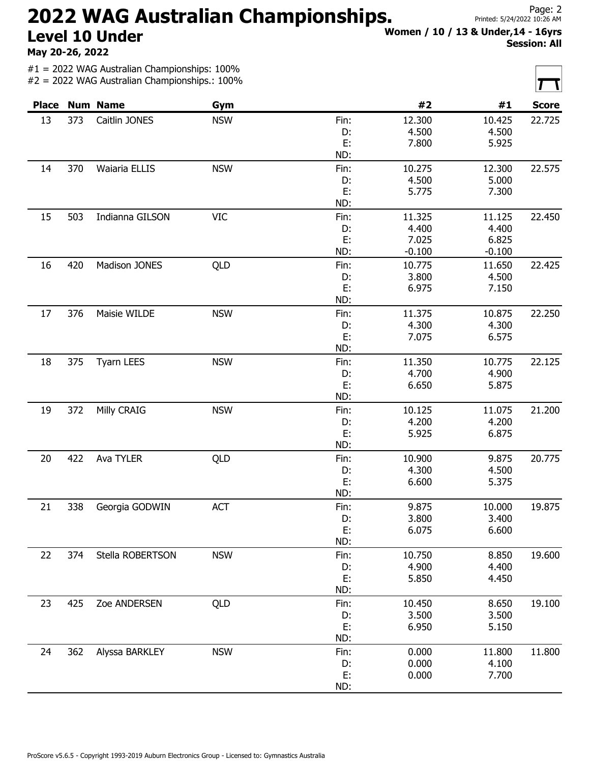## 2022 WAG Australian Championships. Level 10 Under

May 20-26, 2022

#1 = 2022 WAG Australian Championships: 100% #2 = 2022 WAG Australian Championships.: 100%

| ProScore v5.6.5 - Copyright 1993-2019 Auburn Electronics Group - Licensed to: Gymnastics Australia |  |  |
|----------------------------------------------------------------------------------------------------|--|--|

|              |     | $\pi z$ – 2022 YVAO Adad diidri Championamps 100 70 |            |          |          |          | I<br>$\mathbf{I}$ |
|--------------|-----|-----------------------------------------------------|------------|----------|----------|----------|-------------------|
| <b>Place</b> |     | <b>Num Name</b>                                     | Gym        |          | #2       | #1       | <b>Score</b>      |
| 13           | 373 | Caitlin JONES                                       | <b>NSW</b> | Fin:     | 12.300   | 10.425   | 22.725            |
|              |     |                                                     |            | D:       | 4.500    | 4.500    |                   |
|              |     |                                                     |            | E:       | 7.800    | 5.925    |                   |
|              |     |                                                     |            | ND:      |          |          |                   |
| 14           | 370 | Waiaria ELLIS                                       | <b>NSW</b> | Fin:     | 10.275   | 12.300   | 22.575            |
|              |     |                                                     |            | D:       | 4.500    | 5.000    |                   |
|              |     |                                                     |            | E:       | 5.775    | 7.300    |                   |
|              |     |                                                     |            | ND:      |          |          |                   |
| 15           | 503 | Indianna GILSON                                     | <b>VIC</b> | Fin:     | 11.325   | 11.125   | 22.450            |
|              |     |                                                     |            | D:       | 4.400    | 4.400    |                   |
|              |     |                                                     |            | E:       | 7.025    | 6.825    |                   |
|              |     |                                                     |            | ND:      | $-0.100$ | $-0.100$ |                   |
|              |     |                                                     |            |          |          |          |                   |
| 16           | 420 | Madison JONES                                       | QLD        | Fin:     | 10.775   | 11.650   | 22.425            |
|              |     |                                                     |            | D:       | 3.800    | 4.500    |                   |
|              |     |                                                     |            | E:       | 6.975    | 7.150    |                   |
|              |     |                                                     |            | ND:      |          |          |                   |
| 17           | 376 | Maisie WILDE                                        | <b>NSW</b> | Fin:     | 11.375   | 10.875   | 22.250            |
|              |     |                                                     |            | D:       | 4.300    | 4.300    |                   |
|              |     |                                                     |            | E:       | 7.075    | 6.575    |                   |
|              |     |                                                     |            | ND:      |          |          |                   |
| 18           | 375 | <b>Tyarn LEES</b>                                   | <b>NSW</b> | Fin:     | 11.350   | 10.775   | 22.125            |
|              |     |                                                     |            | D:       | 4.700    | 4.900    |                   |
|              |     |                                                     |            | E:       | 6.650    | 5.875    |                   |
|              |     |                                                     |            | ND:      |          |          |                   |
| 19           | 372 | Milly CRAIG                                         | <b>NSW</b> | Fin:     | 10.125   | 11.075   | 21.200            |
|              |     |                                                     |            | D:       | 4.200    | 4.200    |                   |
|              |     |                                                     |            | E:       | 5.925    | 6.875    |                   |
|              |     |                                                     |            | ND:      |          |          |                   |
|              |     |                                                     |            |          |          |          |                   |
| 20           | 422 | Ava TYLER                                           | QLD        | Fin:     | 10.900   | 9.875    | 20.775            |
|              |     |                                                     |            | D:       | 4.300    | 4.500    |                   |
|              |     |                                                     |            | E:       | 6.600    | 5.375    |                   |
|              |     |                                                     |            | ND:      |          |          |                   |
| 21           | 338 | Georgia GODWIN                                      | <b>ACT</b> | Fin:     | 9.875    | 10.000   | 19.875            |
|              |     |                                                     |            | D:       | 3.800    | 3.400    |                   |
|              |     |                                                     | E:         | 6.075    | 6.600    |          |                   |
|              |     |                                                     | ND:        |          |          |          |                   |
| 22           | 374 | Stella ROBERTSON                                    | <b>NSW</b> | Fin:     | 10.750   | 8.850    | 19.600            |
|              |     |                                                     |            | D:       | 4.900    | 4.400    |                   |
|              |     |                                                     | E:         | 5.850    | 4.450    |          |                   |
|              |     |                                                     |            | ND:      |          |          |                   |
| 23           | 425 | Zoe ANDERSEN                                        | QLD        | Fin:     | 10.450   | 8.650    | 19.100            |
|              |     |                                                     |            |          | 3.500    | 3.500    |                   |
|              |     |                                                     |            | D:<br>E: | 6.950    | 5.150    |                   |
|              |     |                                                     |            |          |          |          |                   |
|              |     |                                                     |            | ND:      |          |          |                   |
| 24           | 362 | Alyssa BARKLEY                                      | <b>NSW</b> | Fin:     | 0.000    | 11.800   | 11.800            |
|              |     |                                                     |            | D:       | 0.000    | 4.100    |                   |
|              |     |                                                     |            | E:       | 0.000    | 7.700    |                   |
|              |     |                                                     | ND:        |          |          |          |                   |